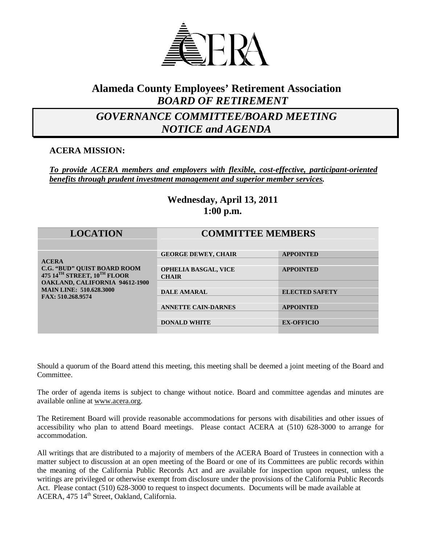

## **Alameda County Employees' Retirement Association** *BOARD OF RETIREMENT*

## *GOVERNANCE COMMITTEE/BOARD MEETING NOTICE and AGENDA*

#### **ACERA MISSION:**

#### *To provide ACERA members and employers with flexible, cost-effective, participant-oriented benefits through prudent investment management and superior member services.*

### **Wednesday, April 13, 2011 1:00 p.m.**

| <b>LOCATION</b>                                                                                                                                                            | <b>COMMITTEE MEMBERS</b>                    |                       |
|----------------------------------------------------------------------------------------------------------------------------------------------------------------------------|---------------------------------------------|-----------------------|
| <b>ACERA</b><br><b>C.G. "BUD" QUIST BOARD ROOM</b><br>475 14TH STREET, 10TH FLOOR<br>OAKLAND, CALIFORNIA 94612-1900<br><b>MAIN LINE: 510.628.3000</b><br>FAX: 510.268.9574 | <b>GEORGE DEWEY, CHAIR</b>                  | <b>APPOINTED</b>      |
|                                                                                                                                                                            | <b>OPHELIA BASGAL, VICE</b><br><b>CHAIR</b> | <b>APPOINTED</b>      |
|                                                                                                                                                                            | <b>DALE AMARAL</b>                          | <b>ELECTED SAFETY</b> |
|                                                                                                                                                                            |                                             |                       |
|                                                                                                                                                                            | <b>ANNETTE CAIN-DARNES</b>                  | <b>APPOINTED</b>      |
|                                                                                                                                                                            | <b>DONALD WHITE</b>                         | <b>EX-OFFICIO</b>     |
|                                                                                                                                                                            |                                             |                       |

Should a quorum of the Board attend this meeting, this meeting shall be deemed a joint meeting of the Board and Committee.

The order of agenda items is subject to change without notice. Board and committee agendas and minutes are available online at [www.acera.org.](http://www.acera.org/)

The Retirement Board will provide reasonable accommodations for persons with disabilities and other issues of accessibility who plan to attend Board meetings. Please contact ACERA at (510) 628-3000 to arrange for accommodation.

All writings that are distributed to a majority of members of the ACERA Board of Trustees in connection with a matter subject to discussion at an open meeting of the Board or one of its Committees are public records within the meaning of the California Public Records Act and are available for inspection upon request, unless the writings are privileged or otherwise exempt from disclosure under the provisions of the California Public Records Act. Please contact (510) 628-3000 to request to inspect documents. Documents will be made available at ACERA, 475 14<sup>th</sup> Street, Oakland, California.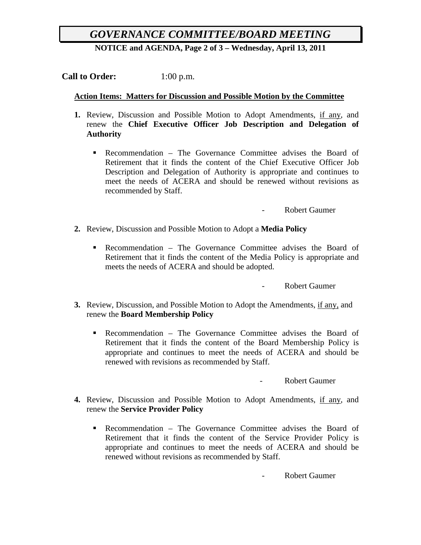# *GOVERNANCE COMMITTEE/BOARD MEETING*

**NOTICE and AGENDA, Page 2 of 3 – Wednesday, April 13, 2011**

**Call to Order:** 1:00 p.m.

#### **Action Items: Matters for Discussion and Possible Motion by the Committee**

- **1.** Review, Discussion and Possible Motion to Adopt Amendments, if any, and renew the **Chief Executive Officer Job Description and Delegation of Authority**
	- Recommendation The Governance Committee advises the Board of Retirement that it finds the content of the Chief Executive Officer Job Description and Delegation of Authority is appropriate and continues to meet the needs of ACERA and should be renewed without revisions as recommended by Staff.

- Robert Gaumer

- **2.** Review, Discussion and Possible Motion to Adopt a **Media Policy**
	- Recommendation The Governance Committee advises the Board of Retirement that it finds the content of the Media Policy is appropriate and meets the needs of ACERA and should be adopted.

- Robert Gaumer

- **3.** Review, Discussion, and Possible Motion to Adopt the Amendments, if any, and renew the **Board Membership Policy**
	- Recommendation The Governance Committee advises the Board of Retirement that it finds the content of the Board Membership Policy is appropriate and continues to meet the needs of ACERA and should be renewed with revisions as recommended by Staff.

- Robert Gaumer

- **4.** Review, Discussion and Possible Motion to Adopt Amendments, if any, and renew the **Service Provider Policy**
	- Recommendation The Governance Committee advises the Board of Retirement that it finds the content of the Service Provider Policy is appropriate and continues to meet the needs of ACERA and should be renewed without revisions as recommended by Staff.

- Robert Gaumer